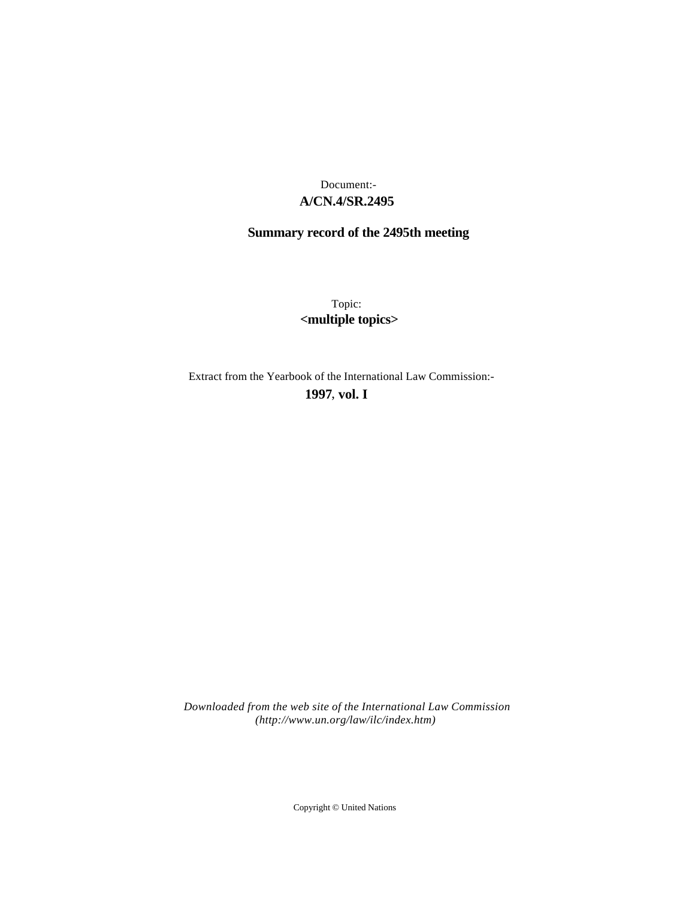# **A/CN.4/SR.2495** Document:-

# **Summary record of the 2495th meeting**

Topic: **<multiple topics>**

Extract from the Yearbook of the International Law Commission:-

**1997** , **vol. I**

*Downloaded from the web site of the International Law Commission (http://www.un.org/law/ilc/index.htm)*

Copyright © United Nations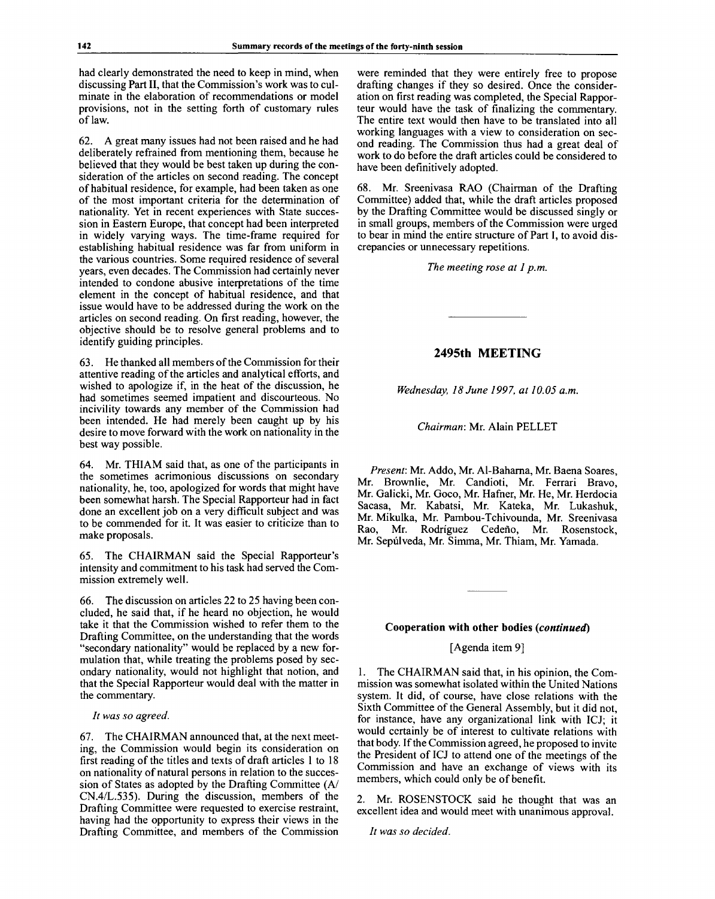had clearly demonstrated the need to keep in mind, when discussing Part II, that the Commission's work was to culminate in the elaboration of recommendations or model provisions, not in the setting forth of customary rules of law.

62. A great many issues had not been raised and he had deliberately refrained from mentioning them, because he believed that they would be best taken up during the consideration of the articles on second reading. The concept of habitual residence, for example, had been taken as one of the most important criteria for the determination of nationality. Yet in recent experiences with State succession in Eastern Europe, that concept had been interpreted in widely varying ways. The time-frame required for establishing habitual residence was far from uniform in the various countries. Some required residence of several years, even decades. The Commission had certainly never intended to condone abusive interpretations of the time element in the concept of habitual residence, and that issue would have to be addressed during the work on the articles on second reading. On first reading, however, the objective should be to resolve general problems and to identify guiding principles.

63. He thanked all members of the Commission for their attentive reading of the articles and analytical efforts, and wished to apologize if, in the heat of the discussion, he had sometimes seemed impatient and discourteous. No incivility towards any member of the Commission had been intended. He had merely been caught up by his desire to move forward with the work on nationality in the best way possible.

64. Mr. THIAM said that, as one of the participants in the sometimes acrimonious discussions on secondary nationality, he, too, apologized for words that might have been somewhat harsh. The Special Rapporteur had in fact done an excellent job on a very difficult subject and was to be commended for it. It was easier to criticize than to make proposals.

65. The CHAIRMAN said the Special Rapporteur's intensity and commitment to his task had served the Commission extremely well.

66. The discussion on articles 22 to 25 having been concluded, he said that, if he heard no objection, he would take it that the Commission wished to refer them to the Drafting Committee, on the understanding that the words "secondary nationality" would be replaced by a new formulation that, while treating the problems posed by secondary nationality, would not highlight that notion, and that the Special Rapporteur would deal with the matter in the commentary.

# *It was so agreed.*

67. The CHAIRMAN announced that, at the next meeting, the Commission would begin its consideration on first reading of the titles and texts of draft articles 1 to 18 on nationality of natural persons in relation to the succession of States as adopted by the Drafting Committee (A/ CN.4/L.535). During the discussion, members of the Drafting Committee were requested to exercise restraint, having had the opportunity to express their views in the Drafting Committee, and members of the Commission were reminded that they were entirely free to propose drafting changes if they so desired. Once the consideration on first reading was completed, the Special Rapporteur would have the task of finalizing the commentary. The entire text would then have to be translated into all working languages with a view to consideration on second reading. The Commission thus had a great deal of work to do before the draft articles could be considered to have been definitively adopted.

68. Mr. Sreenivasa RAO (Chairman of the Drafting Committee) added that, while the draft articles proposed by the Drafting Committee would be discussed singly or in small groups, members of the Commission were urged to bear in mind the entire structure of Part I, to avoid discrepancies or unnecessary repetitions.

*The meeting rose at 1 p.m.*

# **2495th MEETING**

*Wednesday, 18 June 1997, at 10.05 a.m.*

*Chairman:* Mr. Alain PELLET

*Present:* Mr. Addo, Mr. Al-Baharna, Mr. Baena Soares, Mr. Brownlie, Mr. Candioti, Mr. Ferrari Bravo, Mr. Galicki, Mr. Goco, Mr. Hafner, Mr. He, Mr. Herdocia Sacasa, Mr. Kabatsi, Mr. Kateka, Mr. Lukashuk, Mr. Mikulka, Mr. Pambou-Tchivounda, Mr. Sreenivasa Rao, Mr. Rodriguez Cedeno, Mr. Rosenstock, Mr. Sepulveda, Mr. Simma, Mr. Thiam, Mr. Yamada.

# **Cooperation with other bodies** *{continued)*

# [Agenda item 9]

1. The CHAIRMAN said that, in his opinion, the Commission was somewhat isolated within the United Nations system. It did, of course, have close relations with the Sixth Committee of the General Assembly, but it did not, for instance, have any organizational link with ICJ; it would certainly be of interest to cultivate relations with that body. If the Commission agreed, he proposed to invite the President of ICJ to attend one of the meetings of the Commission and have an exchange of views with its members, which could only be of benefit.

2. Mr. ROSENSTOCK said he thought that was an excellent idea and would meet with unanimous approval.

*It was so decided.*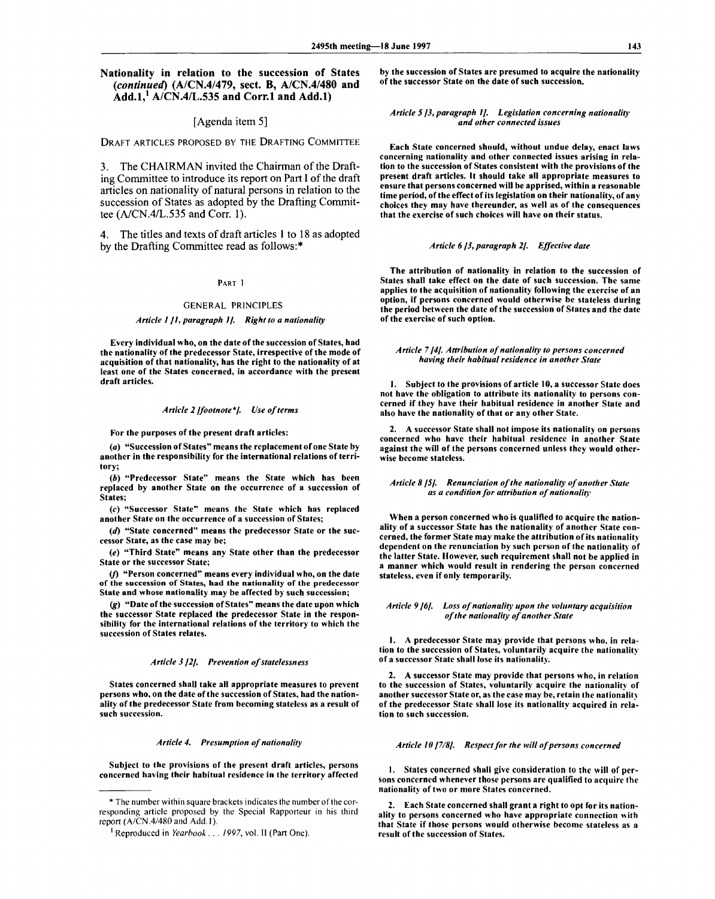# **Nationality in relation to the succession of States** *(continued)* **(A/CN.4/479, sect. B, A/CN.4/480 and Add.l,<sup>1</sup> A/CN.4/L.535 and Corr.l and Add.l)**

# [Agenda item 5]

DRAFT ARTICLES PROPOSED BY THE DRAFTING COMMITTEE

3. The CHAIRMAN invited the Chairman of the Drafting Committee to introduce its report on Part I of the draft articles on nationality of natural persons in relation to the succession of States as adopted by the Drafting Committee (A/CN.4/L.535 and Corr. 1).

4. The titles and texts of draft articles 1 to 18 as adopted by the Drafting Committee read as follows:\*

#### **PART I**

#### **GENERAL PRINCIPLES**

#### *Article 1 fl, paragraph* **//.** *Right to a nationality*

**Every individual who, on the date of the succession of States, had the nationality of the predecessor State, irrespective of the mode of acquisition of that nationality, has the right to the nationality of at least one of the States concerned, in accordance with the present draft articles.**

#### *Article 2 /footnote\*/. Use of terms*

**For the purposes of the present draft articles:**

*(a)* **"Succession of States" means the replacement of one State by another in the responsibility for the international relations of territory;**

*(b)* **"Predecessor State" means the State which has been replaced by another State on the occurrence of a succession of States;**

**(c) "Successor State" means the State which has replaced another State on the occurrence of a succession of States;**

*(d)* **"State concerned" means the predecessor State or the successor State, as the case may be;**

*(e)* **"Third State" means any State other than the predecessor State or the successor State;**

*if)* **"Person concerned" means every individual who, on the date of the succession of States, had the nationality of the predecessor State and whose nationality may be affected by such succession;**

*(g)* **"Date of the succession of States" means the date upon which the successor State replaced the predecessor State in the responsibility for the international relations of the territory to which the succession of States relates.**

#### *Article 312/. Prevention of statelessness*

**States concerned shall take all appropriate measures to prevent persons who, on the date of the succession of States, had the nationality of the predecessor State from becoming stateless as a result of such succession.**

# *Article 4. Presumption of nationality*

**Subject to the provisions of the present draft articles, persons concerned having their habitual residence in the territory affected**

**\* The number within square brackets indicates the number of the corresponding article proposed by the Special Rapporteur in his third report (A/CN.4/480 and Add. I).**

**by the succession of States are presumed to acquire the nationality of the successor State on the date of such succession.**

#### *Article 5 /3, paragraph* **//.** *Legislation concerning nationality and other connected issues*

**Each State concerned should, without undue delay, enact laws concerning nationality and other connected issues arising in relation to the succession of States consistent with the provisions of the present draft articles. It should take all appropriate measures to ensure that persons concerned will be apprised, within a reasonable time period, of the effect of its legislation on their nationality, of any choices they may have thereunder, as well as of the consequences that the exercise of such choices will have on their status.**

# *Article 6 /3, paragraph 2J. Effective date*

**The attribution of nationality in relation to the succession of States shall take effect on the date of such succession. The same applies to the acquisition of nationality following the exercise of an option, if persons concerned would otherwise be stateless during the period between the date of the succession of States and the date of the exercise of such option.**

*Article 7/4/. Attribution of nationality to persons concerned having their habitual residence in another State*

**1. Subject to the provisions of article 10, a successor State does not have the obligation to attribute its nationality to persons concerned if they have their habitual residence in another State and also have the nationality of that or any other State.**

**2. A successor State shall not impose its nationality on persons concerned who have their habitual residence in another State against the will of the persons concerned unless they would otherwise become stateless.**

#### *Article 8 /5/. Renunciation of the nationality of another State as a condition for attribution of nationality*

**When a person concerned who is qualified to acquire the nationality of a successor State has the nationality of another State concerned, the former State may make the attribution of its nationality dependent on the renunciation by such person of the nationality of the latter State. However, such requirement shall not be applied in a manner which would result in rendering the person concerned stateless, even if only temporarily.**

### *Article 9 f6J. Loss of nationality upon the voluntary acquisition of the nationality of another State*

**1. A predecessor State may provide that persons who, in relation to the succession of States, voluntarily acquire the nationality of a successor State shall lose its nationality.**

**2. A successor State may provide that persons who, in relation to the succession of States, voluntarily acquire the nationality of another successor State or, as the case may be, retain the nationality of the predecessor State shall lose its nationality acquired in relation to such succession.**

#### *Article 10 /7/8/. Respect for the will of persons concerned*

**1. States concerned shall give consideration to the will of persons concerned whenever those persons are qualified to acquire the nationality of two or more States concerned.**

**2. Each State concerned shall grant a right to opt for its nationality to persons concerned who have appropriate connection with that State if those persons would otherwise become stateless as a result of the succession of States.**

**<sup>1</sup> Reproduced in** *Yearbook . . . 1997,* **vol. II (Part One).**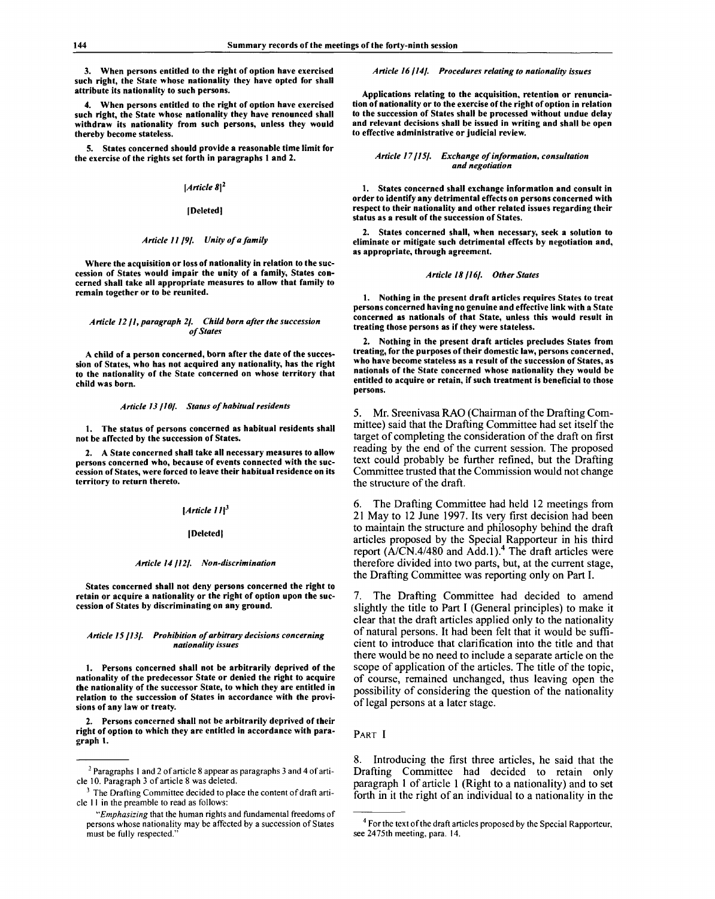**3. When persons entitled to the right of option have exercised such right, the State whose nationality they have opted for shall attribute its nationality to such persons.**

**4. When persons entitled to the right of option have exercised such right, the State whose nationality they have renounced shall withdraw its nationality from such persons, unless they would thereby become stateless.**

**5. States concerned should provide a reasonable time limit for the exercise of the rights set forth in paragraphs 1 and 2.**

# *\Article8\<sup>2</sup>*

# **| Deleted]**

#### *Article 11 [9/. Unity of a family*

**Where the acquisition or loss of nationality in relation to the succession of States would impair the unity of a family, States concerned shall take all appropriate measures to allow that family to remain together or to be reunited.**

# *Article 12 /I, paragraph 2/. Child born after the succession of States*

**A child of a person concerned, born after the date of the succession of States, who has not acquired any nationality, has the right to the nationality of the State concerned on whose territory that child was born.**

#### *Article 13 jlOj. Status of habitual residents*

**1. The status of persons concerned as habitual residents shall not be affected by the succession of States.**

**2. A State concerned shall take all necessary measures to allow persons concerned who, because of events connected with the succession of States, were forced to leave their habitual residence on its territory to return thereto.**

# *{Article ll\<sup>3</sup>*

#### **| Deleted |**

#### *Article 14 [12/. Non-discrimination*

**States concerned shall not deny persons concerned the right to retain or acquire a nationality or the right of option upon the succession of States by discriminating on any ground.**

#### *Article 15 fl3f. Prohibition of arbitrary decisions concerning nationality issues*

**1. Persons concerned shall not be arbitrarily deprived of the nationality of the predecessor State or denied the right to acquire the nationality of the successor State, to which they are entitled in relation to the succession of States in accordance with the provisions of any law or treaty.**

**2. Persons concerned shall not be arbitrarily deprived of their right of option to which they are entitled in accordance with paragraph 1.**

# *Article 16 f!4/. Procedures relating to nationality issues*

**Applications relating to the acquisition, retention or renunciation of nationality or to the exercise of the right of option in relation to the succession of States shall be processed without undue delay and relevant decisions shall be issued in writing and shall be open to effective administrative or judicial review.**

#### *Article 17* **// 5/.** *Exchange of information, consultation and negotiation*

**1. States concerned shall exchange information and consult in order to identify any detrimental effects on persons concerned with respect to their nationality and other related issues regarding their status as a result of the succession of States.**

**2. States concerned shall, when necessary, seek a solution to eliminate or mitigate such detrimental effects by negotiation and, as appropriate, through agreement.**

#### *Article 18/16/. Other States*

**1. Nothing in the present draft articles requires States to treat persons concerned having no genuine and effective link with a State concerned as nationals of that State, unless this would result in treating those persons as if they were stateless.**

**2. Nothing in the present draft articles precludes States from treating, for the purposes of their domestic law, persons concerned, who have become stateless as a result of the succession of States, as nationals of the State concerned whose nationality they would be entitled to acquire or retain, if such treatment is beneficial to those persons.**

5. Mr. Sreenivasa RAO (Chairman of the Drafting Committee) said that the Drafting Committee had set itself the target of completing the consideration of the draft on first reading by the end of the current session. The proposed text could probably be further refined, but the Drafting Committee trusted that the Commission would not change the structure of the draft.

6. The Drafting Committee had held 12 meetings from 21 May to 12 June 1997. Its very first decision had been to maintain the structure and philosophy behind the draft articles proposed by the Special Rapporteur in his third report  $(\angle A/CN.4/480$  and  $\angle A/d.1$ ).<sup>4</sup> The draft articles were therefore divided into two parts, but, at the current stage, the Drafting Committee was reporting only on Part I.

7. The Drafting Committee had decided to amend slightly the title to Part I (General principles) to make it clear that the draft articles applied only to the nationality of natural persons. It had been felt that it would be sufficient to introduce that clarification into the title and that there would be no need to include a separate article on the scope of application of the articles. The title of the topic, of course, remained unchanged, thus leaving open the possibility of considering the question of the nationality of legal persons at a later stage.

PART I

8. Introducing the first three articles, he said that the Drafting Committee had decided to retain only paragraph 1 of article 1 (Right to a nationality) and to set forth in it the right of an individual to a nationality in the

**<sup>2</sup> Paragraphs 1 and 2 of article 8 appear as paragraphs 3 and 4 of article 10. Paragraph 3 of article 8 was deleted.**

**<sup>3</sup> The Drafting Committee decided to place the content of draft article 11 in the preamble to read as follows:**

*<sup>&</sup>quot;Emphasizing* **that the human rights and fundamental freedoms of persons whose nationality may be affected by a succession of States must be fully respected."**

**<sup>4</sup> For the text of the draft articles proposed by the Special Rapporteur, see 2475th meeting, para. 14.**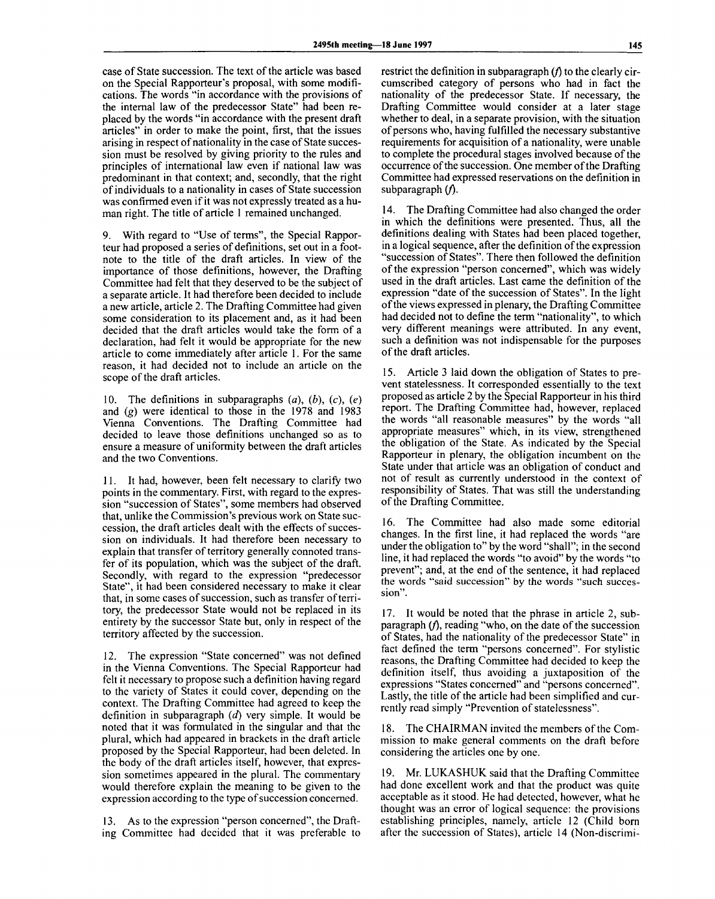case of State succession. The text of the article was based on the Special Rapporteur's proposal, with some modifications. The words "in accordance with the provisions of the internal law of the predecessor State" had been replaced by the words "in accordance with the present draft articles" in order to make the point, first, that the issues arising in respect of nationality in the case of State succession must be resolved by giving priority to the rules and principles of international law even if national law was predominant in that context; and, secondly, that the right of individuals to a nationality in cases of State succession was confirmed even if it was not expressly treated as a human right. The title of article 1 remained unchanged.

9. With regard to "Use of terms", the Special Rapporteur had proposed a series of definitions, set out in a footnote to the title of the draft articles. In view of the importance of those definitions, however, the Drafting Committee had felt that they deserved to be the subject of a separate article. It had therefore been decided to include a new article, article 2. The Drafting Committee had given some consideration to its placement and, as it had been decided that the draft articles would take the form of a declaration, had felt it would be appropriate for the new article to come immediately after article 1. For the same reason, it had decided not to include an article on the scope of the draft articles.

10. The definitions in subparagraphs *(a), (b),* (c), *(e)* and (g) were identical to those in the 1978 and 1983 Vienna Conventions. The Drafting Committee had decided to leave those definitions unchanged so as to ensure a measure of uniformity between the draft articles and the two Conventions.

11. It had, however, been felt necessary to clarify two points in the commentary. First, with regard to the expression "succession of States", some members had observed that, unlike the Commission's previous work on State succession, the draft articles dealt with the effects of succession on individuals. It had therefore been necessary to explain that transfer of territory generally connoted transfer of its population, which was the subject of the draft. Secondly, with regard to the expression "predecessor State", it had been considered necessary to make it clear that, in some cases of succession, such as transfer of territory, the predecessor State would not be replaced in its entirety by the successor State but, only in respect of the territory affected by the succession.

12. The expression "State concerned" was not defined in the Vienna Conventions. The Special Rapporteur had felt it necessary to propose such a definition having regard to the variety of States it could cover, depending on the context. The Drafting Committee had agreed to keep the definition in subparagraph *(d)* very simple. It would be noted that it was formulated in the singular and that the plural, which had appeared in brackets in the draft article proposed by the Special Rapporteur, had been deleted. In the body of the draft articles itself, however, that expression sometimes appeared in the plural. The commentary would therefore explain the meaning to be given to the expression according to the type of succession concerned.

13. As to the expression "person concerned", the Drafting Committee had decided that it was preferable to restrict the definition in subparagraph  $(f)$  to the clearly circumscribed category of persons who had in fact the nationality of the predecessor State. If necessary, the Drafting Committee would consider at a later stage whether to deal, in a separate provision, with the situation of persons who, having fulfilled the necessary substantive requirements for acquisition of a nationality, were unable to complete the procedural stages involved because of the occurrence of the succession. One member of the Drafting Committee had expressed reservations on the definition in subparagraph  $(f)$ .

14. The Drafting Committee had also changed the order in which the definitions were presented. Thus, all the definitions dealing with States had been placed together, in a logical sequence, after the definition of the expression "succession of States". There then followed the definition of the expression "person concerned", which was widely used in the draft articles. Last came the definition of the expression "date of the succession of States". In the light of the views expressed in plenary, the Drafting Committee had decided not to define the term "nationality", to which very different meanings were attributed. In any event, such a definition was not indispensable for the purposes of the draft articles.

15. Article 3 laid down the obligation of States to prevent statelessness. It corresponded essentially to the text proposed as article 2 by the Special Rapporteur in his third report. The Drafting Committee had, however, replaced the words "all reasonable measures" by the words "all appropriate measures" which, in its view, strengthened the obligation of the State. As indicated by the Special Rapporteur in plenary, the obligation incumbent on the State under that article was an obligation of conduct and not of result as currently understood in the context of responsibility of States. That was still the understanding of the Drafting Committee.

16. The Committee had also made some editorial changes. In the first line, it had replaced the words "are under the obligation to" by the word "shall"; in the second line, it had replaced the words "to avoid" by the words "to prevent"; and, at the end of the sentence, it had replaced the words "said succession" by the words "such succession".

17. It would be noted that the phrase in article 2, subparagraph  $(f)$ , reading "who, on the date of the succession of States, had the nationality of the predecessor State" in fact defined the term "persons concerned". For stylistic reasons, the Drafting Committee had decided to keep the definition itself, thus avoiding a juxtaposition of the expressions "States concerned" and "persons concerned". Lastly, the title of the article had been simplified and currently read simply "Prevention of statelessness".

18. The CHAIRMAN invited the members of the Commission to make general comments on the draft before considering the articles one by one.

19. Mr. LUKASHUK said that the Drafting Committee had done excellent work and that the product was quite acceptable as it stood. He had detected, however, what he thought was an error of logical sequence: the provisions establishing principles, namely, article 12 (Child born after the succession of States), article 14 (Non-discrimi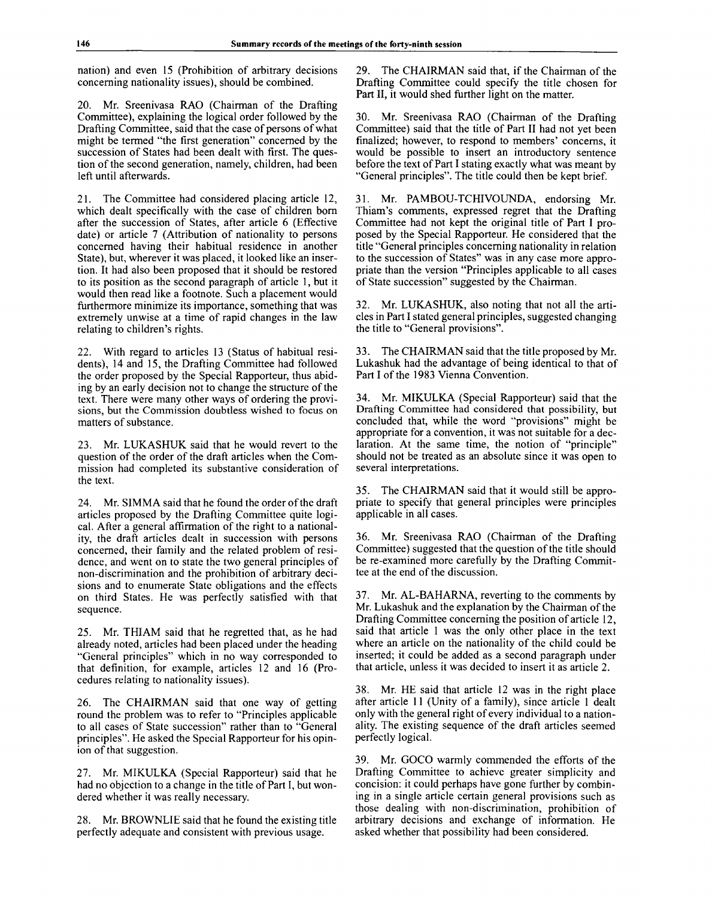nation) and even 15 (Prohibition of arbitrary decisions concerning nationality issues), should be combined.

20. Mr. Sreenivasa RAO (Chairman of the Drafting Committee), explaining the logical order followed by the Drafting Committee, said that the case of persons of what might be termed "the first generation" concerned by the succession of States had been dealt with first. The question of the second generation, namely, children, had been left until afterwards.

21. The Committee had considered placing article 12, which dealt specifically with the case of children born after the succession of States, after article 6 (Effective date) or article 7 (Attribution of nationality to persons concerned having their habitual residence in another State), but, wherever it was placed, it looked like an insertion. It had also been proposed that it should be restored to its position as the second paragraph of article 1, but it would then read like a footnote. Such a placement would furthermore minimize its importance, something that was extremely unwise at a time of rapid changes in the law relating to children's rights.

22. With regard to articles 13 (Status of habitual residents), 14 and 15, the Drafting Committee had followed the order proposed by the Special Rapporteur, thus abiding by an early decision not to change the structure of the text. There were many other ways of ordering the provisions, but the Commission doubtless wished to focus on matters of substance.

23. Mr. LUKASHUK said that he would revert to the question of the order of the draft articles when the Commission had completed its substantive consideration of the text.

24. Mr. SIMMA said that he found the order of the draft articles proposed by the Drafting Committee quite logical. After a general affirmation of the right to a nationality, the draft articles dealt in succession with persons concerned, their family and the related problem of residence, and went on to state the two general principles of non-discrimination and the prohibition of arbitrary decisions and to enumerate State obligations and the effects on third States. He was perfectly satisfied with that sequence.

25. Mr. THIAM said that he regretted that, as he had already noted, articles had been placed under the heading "General principles" which in no way corresponded to that definition, for example, articles 12 and 16 (Procedures relating to nationality issues).

26. The CHAIRMAN said that one way of getting round the problem was to refer to "Principles applicable to all cases of State succession" rather than to "General principles". He asked the Special Rapporteur for his opinion of that suggestion.

27. Mr. MIKULKA (Special Rapporteur) said that he had no objection to a change in the title of Part I, but wondered whether it was really necessary.

28. Mr. BROWNLIE said that he found the existing title perfectly adequate and consistent with previous usage.

29. The CHAIRMAN said that, if the Chairman of the Drafting Committee could specify the title chosen for Part II, it would shed further light on the matter.

30. Mr. Sreenivasa RAO (Chairman of the Drafting Committee) said that the title of Part II had not yet been finalized; however, to respond to members' concerns, it would be possible to insert an introductory sentence before the text of Part I stating exactly what was meant by "General principles". The title could then be kept brief.

31. Mr. PAMBOU-TCHIVOUNDA, endorsing Mr. Thiam's comments, expressed regret that the Drafting Committee had not kept the original title of Part I proposed by the Special Rapporteur. He considered that the title "General principles concerning nationality in relation to the succession of States" was in any case more appropriate than the version "Principles applicable to all cases of State succession" suggested by the Chairman.

32. Mr. LUKASHUK, also noting that not all the articles in Part I stated general principles, suggested changing the title to "General provisions".

33. The CHAIRMAN said that the title proposed by Mr. Lukashuk had the advantage of being identical to that of Part I of the 1983 Vienna Convention.

34. Mr. MIKULKA (Special Rapporteur) said that the Drafting Committee had considered that possibility, but concluded that, while the word "provisions" might be appropriate for a convention, it was not suitable for a declaration. At the same time, the notion of "principle" should not be treated as an absolute since it was open to several interpretations.

35. The CHAIRMAN said that it would still be appropriate to specify that general principles were principles applicable in all cases.

36. Mr. Sreenivasa RAO (Chairman of the Drafting Committee) suggested that the question of the title should be re-examined more carefully by the Drafting Committee at the end of the discussion.

37. Mr. AL-BAHARNA, reverting to the comments by Mr. Lukashuk and the explanation by the Chairman of the Drafting Committee concerning the position of article 12, said that article 1 was the only other place in the text where an article on the nationality of the child could be inserted; it could be added as a second paragraph under that article, unless it was decided to insert it as article 2.

38. Mr. HE said that article 12 was in the right place after article 11 (Unity of a family), since article 1 dealt only with the general right of every individual to a nationality. The existing sequence of the draft articles seemed perfectly logical.

39. Mr. GOCO warmly commended the efforts of the Drafting Committee to achieve greater simplicity and concision: it could perhaps have gone further by combining in a single article certain general provisions such as those dealing with non-discrimination, prohibition of arbitrary decisions and exchange of information. He asked whether that possibility had been considered.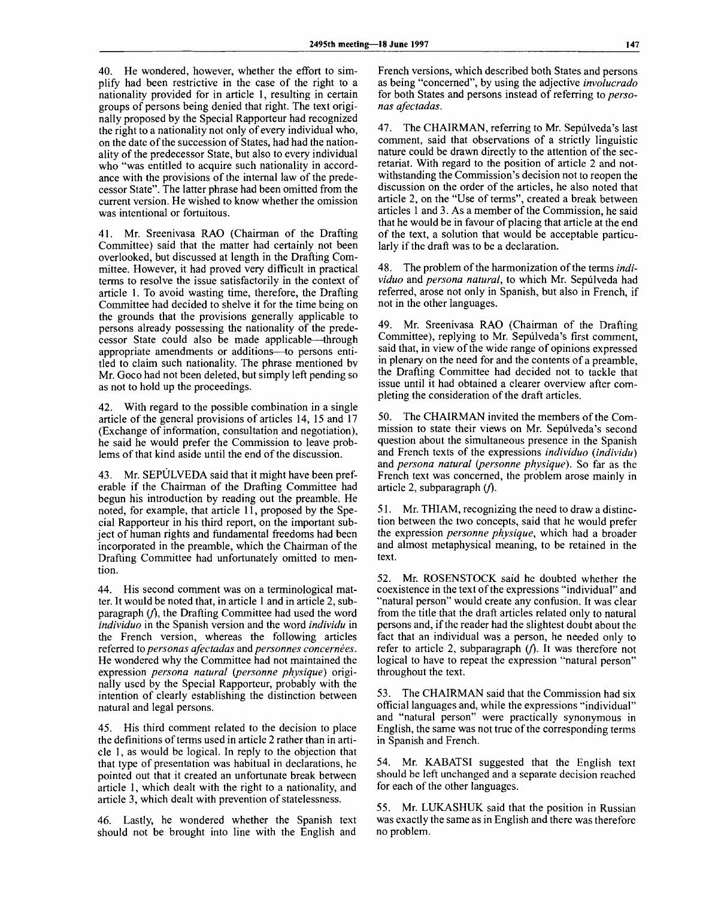40. He wondered, however, whether the effort to simplify had been restrictive in the case of the right to a nationality provided for in article 1, resulting in certain groups of persons being denied that right. The text originally proposed by the Special Rapporteur had recognized the right to a nationality not only of every individual who, on the date of the succession of States, had had the nationality of the predecessor State, but also to every individual who "was entitled to acquire such nationality in accordance with the provisions of the internal law of the predecessor State". The latter phrase had been omitted from the current version. He wished to know whether the omission was intentional or fortuitous.

41. Mr. Sreenivasa RAO (Chairman of the Drafting Committee) said that the matter had certainly not been overlooked, but discussed at length in the Drafting Committee. However, it had proved very difficult in practical terms to resolve the issue satisfactorily in the context of article 1. To avoid wasting time, therefore, the Drafting Committee had decided to shelve it for the time being on the grounds that the provisions generally applicable to persons already possessing the nationality of the predecessor State could also be made applicable—through appropriate amendments or additions—to persons entitled to claim such nationality. The phrase mentioned by Mr. Goco had not been deleted, but simply left pending so as not to hold up the proceedings.

With regard to the possible combination in a single article of the general provisions of articles 14, 15 and 17 (Exchange of information, consultation and negotiation), he said he would prefer the Commission to leave problems of that kind aside until the end of the discussion.

43. Mr. SEPULVEDA said that it might have been preferable if the Chairman of the Drafting Committee had begun his introduction by reading out the preamble. He noted, for example, that article 11, proposed by the Special Rapporteur in his third report, on the important subject of human rights and fundamental freedoms had been incorporated in the preamble, which the Chairman of the Drafting Committee had unfortunately omitted to mention.

44. His second comment was on a terminological matter. It would be noted that, in article 1 and in article 2, subparagraph  $(f)$ , the Drafting Committee had used the word *individuo* in the Spanish version and the word *individu* in the French version, whereas the following articles referred to *personas afectadas* and *personnes concernees.* He wondered why the Committee had not maintained the expression *persona natural (personne physique)* originally used by the Special Rapporteur, probably with the intention of clearly establishing the distinction between natural and legal persons.

45. His third comment related to the decision to place the definitions of terms used in article 2 rather than in article 1, as would be logical. In reply to the objection that that type of presentation was habitual in declarations, he pointed out that it created an unfortunate break between article 1, which dealt with the right to a nationality, and article 3, which dealt with prevention of statelessness.

46. Lastly, he wondered whether the Spanish text should not be brought into line with the English and French versions, which described both States and persons as being "concerned", by using the adjective *involucrado* for both States and persons instead of referring to *personas afectadas.*

47. The CHAIRMAN, referring to Mr. Sepulveda's last comment, said that observations of a strictly linguistic nature could be drawn directly to the attention of the secretariat. With regard to the position of article 2 and notwithstanding the Commission's decision not to reopen the discussion on the order of the articles, he also noted that article 2, on the "Use of terms", created a break between articles 1 and 3. As a member of the Commission, he said that he would be in favour of placing that article at the end of the text, a solution that would be acceptable particularly if the draft was to be a declaration.

48. The problem of the harmonization of the terms *individuo* and *persona natural,* to which Mr. Sepiilveda had referred, arose not only in Spanish, but also in French, if not in the other languages.

49. Mr. Sreenivasa RAO (Chairman of the Drafting Committee), replying to Mr. Sepulveda's first comment, said that, in view of the wide range of opinions expressed in plenary on the need for and the contents of a preamble, the Drafting Committee had decided not to tackle that issue until it had obtained a clearer overview after completing the consideration of the draft articles.

50. The CHAIRMAN invited the members of the Commission to state their views on Mr. Sepulveda's second question about the simultaneous presence in the Spanish and French texts of the expressions *individuo (individu)* and *persona natural (personne physique).* So far as the French text was concerned, the problem arose mainly in article 2, subparagraph (/).

51. Mr. THIAM, recognizing the need to draw a distinction between the two concepts, said that he would prefer the expression *personne physique,* which had a broader and almost metaphysical meaning, to be retained in the text.

52. Mr. ROSENSTOCK said he doubted whether the coexistence in the text of the expressions "individual" and "natural person" would create any confusion. It was clear from the title that the draft articles related only to natural persons and, if the reader had the slightest doubt about the fact that an individual was a person, he needed only to refer to article 2, subparagraph (f). It was therefore not logical to have to repeat the expression "natural person" throughout the text.

53. The CHAIRMAN said that the Commission had six official languages and, while the expressions "individual" and "natural person" were practically synonymous in English, the same was not true of the corresponding terms in Spanish and French.

54. Mr. KABATSI suggested that the English text should be left unchanged and a separate decision reached for each of the other languages.

55. Mr. LUKASHUK said that the position in Russian was exactly the same as in English and there was therefore no problem.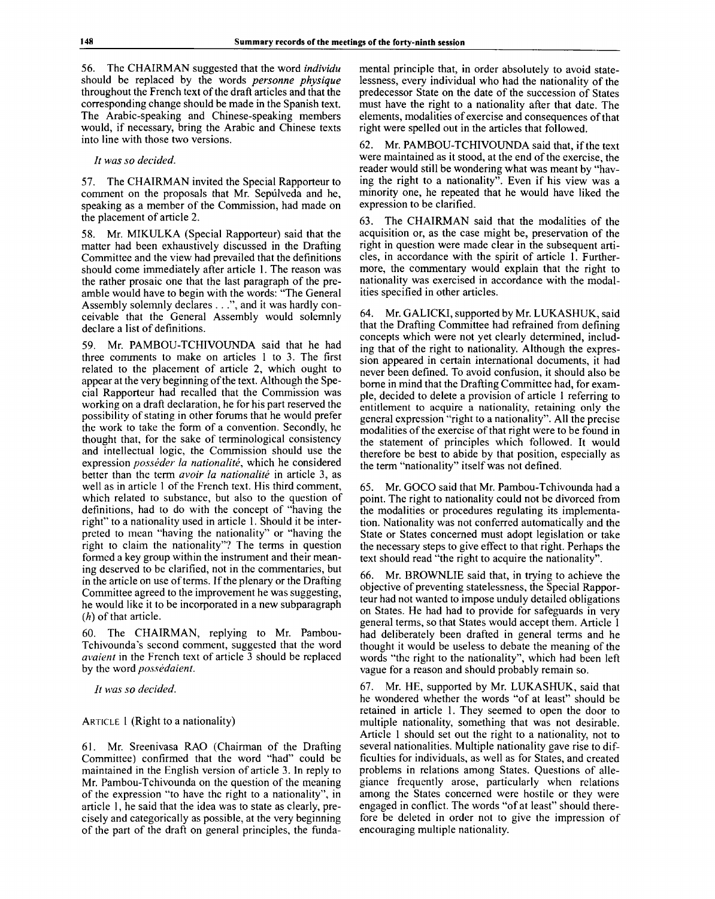56. The CHAIRMAN suggested that the word *individu* should be replaced by the words *personne physique* throughout the French text of the draft articles and that the corresponding change should be made in the Spanish text. The Arabic-speaking and Chinese-speaking members would, if necessary, bring the Arabic and Chinese texts into line with those two versions.

# *It was so decided.*

57. The CHAIRMAN invited the Special Rapporteur to comment on the proposals that Mr. Sepiilveda and he, speaking as a member of the Commission, had made on the placement of article 2.

58. Mr. MIKULKA (Special Rapporteur) said that the matter had been exhaustively discussed in the Drafting Committee and the view had prevailed that the definitions should come immediately after article 1. The reason was the rather prosaic one that the last paragraph of the preamble would have to begin with the words: "The General Assembly solemnly declares . . .", and it was hardly conceivable that the General Assembly would solemnly declare a list of definitions.

59. Mr. PAMBOU-TCHIVOUNDA said that he had three comments to make on articles 1 to 3. The first related to the placement of article 2, which ought to appear at the very beginning of the text. Although the Special Rapporteur had recalled that the Commission was working on a draft declaration, he for his part reserved the possibility of stating in other forums that he would prefer the work to take the form of a convention. Secondly, he thought that, for the sake of terminological consistency and intellectual logic, the Commission should use the expression *posséder la nationalité*, which he considered better than the term *avoir la nationalité* in article 3, as well as in article 1 of the French text. His third comment, which related to substance, but also to the question of definitions, had to do with the concept of "having the right" to a nationality used in article 1. Should it be interpreted to mean "having the nationality" or "having the right to claim the nationality"? The terms in question formed a key group within the instrument and their meaning deserved to be clarified, not in the commentaries, but in the article on use of terms. If the plenary or the Drafting Committee agreed to the improvement he was suggesting, he would like it to be incorporated in a new subparagraph *(h)* of that article.

60. The CHAIRMAN, replying to Mr. Pambou-Tchivounda's second comment, suggested that the word *avaient* in the French text of article 3 should be replaced by the word *possedaient.*

*It was so decided.*

ARTICLE 1 (Right to a nationality)

61. Mr. Sreenivasa RAO (Chairman of the Drafting Committee) confirmed that the word "had" could be maintained in the English version of article 3. In reply to Mr. Pambou-Tchivounda on the question of the meaning of the expression "to have the right to a nationality", in article 1, he said that the idea was to state as clearly, precisely and categorically as possible, at the very beginning of the part of the draft on general principles, the fundamental principle that, in order absolutely to avoid statelessness, every individual who had the nationality of the predecessor State on the date of the succession of States must have the right to a nationality after that date. The elements, modalities of exercise and consequences of that right were spelled out in the articles that followed.

62. Mr. PAMBOU-TCHIVOUNDA said that, if the text were maintained as it stood, at the end of the exercise, the reader would still be wondering what was meant by "having the right to a nationality". Even if his view was a minority one, he repeated that he would have liked the expression to be clarified.

63. The CHAIRMAN said that the modalities of the acquisition or, as the case might be, preservation of the right in question were made clear in the subsequent articles, in accordance with the spirit of article 1. Furthermore, the commentary would explain that the right to nationality was exercised in accordance with the modalities specified in other articles.

64. Mr. GALICKI, supported by Mr. LUKASHUK, said that the Drafting Committee had refrained from defining concepts which were not yet clearly determined, including that of the right to nationality. Although the expression appeared in certain international documents, it had never been defined. To avoid confusion, it should also be borne in mind that the Drafting Committee had, for example, decided to delete a provision of article 1 referring to entitlement to acquire a nationality, retaining only the general expression "right to a nationality". All the precise modalities of the exercise of that right were to be found in the statement of principles which followed. It would therefore be best to abide by that position, especially as the term "nationality" itself was not defined.

65. Mr. GOCO said that Mr. Pambou-Tchivounda had a point. The right to nationality could not be divorced from the modalities or procedures regulating its implementation. Nationality was not conferred automatically and the State or States concerned must adopt legislation or take the necessary steps to give effect to that right. Perhaps the text should read "the right to acquire the nationality".

66. Mr. BROWNLIE said that, in trying to achieve the objective of preventing statelessness, the Special Rapporteur had not wanted to impose unduly detailed obligations on States. He had had to provide for safeguards in very general terms, so that States would accept them. Article 1 had deliberately been drafted in general terms and he thought it would be useless to debate the meaning of the words "the right to the nationality", which had been left vague for a reason and should probably remain so.

Mr. HE, supported by Mr. LUKASHUK, said that he wondered whether the words "of at least" should be retained in article 1. They seemed to open the door to multiple nationality, something that was not desirable. Article 1 should set out the right to a nationality, not to several nationalities. Multiple nationality gave rise to difficulties for individuals, as well as for States, and created problems in relations among States. Questions of allegiance frequently arose, particularly when relations among the States concerned were hostile or they were engaged in conflict. The words "of at least" should therefore be deleted in order not to give the impression of encouraging multiple nationality.